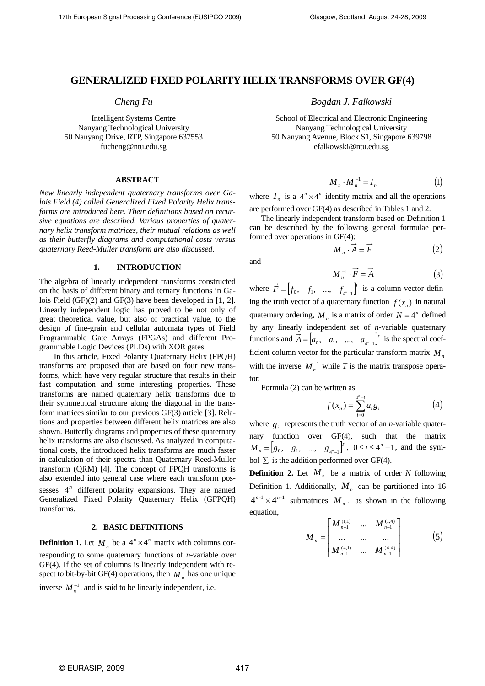# **GENERALIZED FIXED POLARITY HELIX TRANSFORMS OVER GF(4)**

# *Cheng Fu*

Intelligent Systems Centre Nanyang Technological University 50 Nanyang Drive, RTP, Singapore 637553 fucheng@ntu.edu.sg

## **ABSTRACT**

*New linearly independent quaternary transforms over Galois Field (4) called Generalized Fixed Polarity Helix transforms are introduced here. Their definitions based on recursive equations are described. Various properties of quaternary helix transform matrices, their mutual relations as well as their butterfly diagrams and computational costs versus quaternary Reed-Muller transform are also discussed.*

## **1. INTRODUCTION**

The algebra of linearly independent transforms constructed on the basis of different binary and ternary functions in Galois Field (GF)(2) and GF(3) have been developed in [1, 2]. Linearly independent logic has proved to be not only of great theoretical value, but also of practical value, to the design of fine-grain and cellular automata types of Field Programmable Gate Arrays (FPGAs) and different Programmable Logic Devices (PLDs) with XOR gates.

In this article, Fixed Polarity Quaternary Helix (FPQH) transforms are proposed that are based on four new transforms, which have very regular structure that results in their fast computation and some interesting properties. These transforms are named quaternary helix transforms due to their symmetrical structure along the diagonal in the transform matrices similar to our previous GF(3) article [3]. Relations and properties between different helix matrices are also shown. Butterfly diagrams and properties of these quaternary helix transforms are also discussed. As analyzed in computational costs, the introduced helix transforms are much faster in calculation of their spectra than Quaternary Reed-Muller transform (QRM) [4]. The concept of FPQH transforms is also extended into general case where each transform possesses  $4^n$  different polarity expansions. They are named Generalized Fixed Polarity Quaternary Helix (GFPQH) transforms.

# **2. BASIC DEFINITIONS**

**Definition 1.** Let  $M_n$  be a  $4^n \times 4^n$  matrix with columns corresponding to some quaternary functions of *n*-variable over GF(4). If the set of columns is linearly independent with respect to bit-by-bit GF(4) operations, then  $M_n$  has one unique inverse  $M_n^{-1}$ , and is said to be linearly independent, i.e.

*Bogdan J. Falkowski* 

School of Electrical and Electronic Engineering Nanyang Technological University 50 Nanyang Avenue, Block S1, Singapore 639798 efalkowski@ntu.edu.sg

$$
\boldsymbol{M}_n \cdot \boldsymbol{M}_n^{-1} = \boldsymbol{I}_n \tag{1}
$$

where  $I_n$  is a  $4^n \times 4^n$  identity matrix and all the operations are performed over GF(4) as described in Tables 1 and 2.

The linearly independent transform based on Definition 1 can be described by the following general formulae performed over operations in GF(4):

$$
M_n \cdot \vec{A} = \vec{F} \tag{2}
$$

and

$$
M_n^{-1} \cdot \vec{F} = \vec{A} \tag{3}
$$

where  $\vec{F} = \begin{bmatrix} f_0, & f_1, & \dots, & f_{4^n-1} \end{bmatrix}^T$  is a column vector defining the truth vector of a quaternary function  $f(x_n)$  in natural quaternary ordering,  $M_n$  is a matrix of order  $N = 4^n$  defined by any linearly independent set of *n*-variable quaternary functions and  $\vec{A} = \begin{bmatrix} a_0, a_1, \dots, a_{4^n-1} \end{bmatrix}^T$  is the spectral coefficient column vector for the particular transform matrix  $M<sub>n</sub>$ with the inverse  $M_n^{-1}$  while *T* is the matrix transpose operator.

Formula (2) can be written as

$$
f(x_n) = \sum_{i=0}^{4^n - 1} a_i g_i \tag{4}
$$

where  $g_i$  represents the truth vector of an *n*-variable quaternary function over GF(4), such that the matrix  $M_n = [g_0, g_1, ..., g_{4^n-1}]^T$ ,  $0 \le i \le 4^n - 1$ , and the symbol  $\Sigma$  is the addition performed over GF(4).

**Definition 2.** Let  $M_n$  be a matrix of order N following Definition 1. Additionally,  $M_n$  can be partitioned into 16  $4^{n-1} \times 4^{n-1}$  submatrices  $M_{n-1}$  as shown in the following equation,

$$
M_{n} = \begin{bmatrix} M_{n-1}^{(1,1)} & \dots & M_{n-1}^{(1,4)} \\ \dots & \dots & \dots \\ M_{n-1}^{(4,1)} & \dots & M_{n-1}^{(4,4)} \end{bmatrix}
$$
 (5)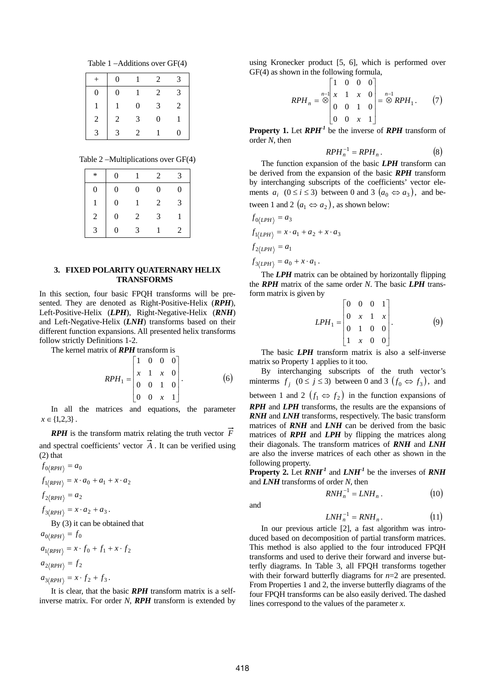Table 1 −Additions over GF(4)

|                | 0                |   | $\mathfrak{D}$ | 2             |
|----------------|------------------|---|----------------|---------------|
| $\overline{0}$ | $\boldsymbol{0}$ |   | 2              | $\mathcal{R}$ |
|                | 1                | 0 | 3              | 2             |
| 2              | $\overline{2}$   | 3 | 0              |               |
| 3              | 3                | 2 |                | $\Omega$      |

Table 2 −Multiplications over GF(4)

| $\ast$       | 0 |   | $\mathfrak{D}$ | 3 |
|--------------|---|---|----------------|---|
| 0            | 0 | 0 | 0              | 0 |
|              | 0 |   | 2              | 3 |
| 2            | 0 | 2 | 3              |   |
| $\mathbf{R}$ | 0 | 3 |                | 2 |

#### **3. FIXED POLARITY QUATERNARY HELIX TRANSFORMS**

In this section, four basic FPQH transforms will be presented. They are denoted as Right-Positive-Helix (*RPH*), Left-Positive-Helix (*LPH*), Right-Negative-Helix (*RNH*) and Left-Negative-Helix (*LNH*) transforms based on their different function expansions. All presented helix transforms follow strictly Definitions 1-2.

The kernel matrix of *RPH* transform is

$$
RPH_1 = \begin{bmatrix} 1 & 0 & 0 & 0 \\ x & 1 & x & 0 \\ 0 & 0 & 1 & 0 \\ 0 & 0 & x & 1 \end{bmatrix}.
$$
 (6)

In all the matrices and equations, the parameter  $x \in \{1,2,3\}$ .

*RPH* is the transform matrix relating the truth vector *F* and spectral coefficients' vector *A* . It can be verified using (2) that

$$
f_{0\langle RPH \rangle} = a_0
$$
  
\n
$$
f_{1\langle RPH \rangle} = x \cdot a_0 + a_1 + x \cdot a_2
$$
  
\n
$$
f_{2\langle RPH \rangle} = a_2
$$
  
\n
$$
f_{3\langle RPH \rangle} = x \cdot a_2 + a_3
$$
  
\nBy (3) it can be obtained that  
\n
$$
a_{0\langle RPH \rangle} = f_0
$$
  
\n
$$
a_{1\langle RPH \rangle} = x \cdot f_0 + f_1 + x \cdot f_2
$$
  
\n
$$
a_{2\langle RPH \rangle} = f_2
$$
  
\n
$$
a_{3\langle RPH \rangle} = x \cdot f_2 + f_3
$$

It is clear, that the basic *RPH* transform matrix is a selfinverse matrix. For order *N*, *RPH* transform is extended by using Kronecker product [5, 6], which is performed over GF(4) as shown in the following formula,

$$
RPH_n = \bigotimes_{i=0}^{n-1} \begin{bmatrix} 1 & 0 & 0 & 0 \\ x & 1 & x & 0 \\ 0 & 0 & 1 & 0 \\ 0 & 0 & x & 1 \end{bmatrix} = \bigotimes_{i=0}^{n-1} RPH_1.
$$
 (7)

**Property 1.** Let *RPH-1* be the inverse of *RPH* transform of order *N*, then

$$
RPH_n^{-1} = RPH_n.
$$
 (8)

The function expansion of the basic *LPH* transform can be derived from the expansion of the basic *RPH* transform by interchanging subscripts of the coefficients' vector elements  $a_i$  ( $0 \le i \le 3$ ) between 0 and 3  $(a_0 \Leftrightarrow a_3)$ , and between 1 and 2  $(a_1 \Leftrightarrow a_2)$ , as shown below:

$$
f_{0\langle LPH \rangle} = a_3
$$
  
\n
$$
f_{1\langle LPH \rangle} = x \cdot a_1 + a_2 + x \cdot a_3
$$
  
\n
$$
f_{2\langle LPH \rangle} = a_1
$$
  
\n
$$
f_{3\langle LPH \rangle} = a_0 + x \cdot a_1.
$$

The *LPH* matrix can be obtained by horizontally flipping the *RPH* matrix of the same order *N*. The basic *LPH* transform matrix is given by

$$
LPH_1 = \begin{bmatrix} 0 & 0 & 0 & 1 \\ 0 & x & 1 & x \\ 0 & 1 & 0 & 0 \\ 1 & x & 0 & 0 \end{bmatrix} . \tag{9}
$$

The basic *LPH* transform matrix is also a self-inverse matrix so Property 1 applies to it too.

By interchanging subscripts of the truth vector's minterms  $f_i$   $(0 \le j \le 3)$  between 0 and 3  $(f_0 \Leftrightarrow f_3)$ , and between 1 and 2  $(f_1 \Leftrightarrow f_2)$  in the function expansions of *RPH* and *LPH* transforms, the results are the expansions of *RNH* and *LNH* transforms, respectively. The basic transform matrices of *RNH* and *LNH* can be derived from the basic matrices of *RPH* and *LPH* by flipping the matrices along their diagonals. The transform matrices of *RNH* and *LNH* are also the inverse matrices of each other as shown in the following property.

**Property 2.** Let  $\mathbf{R} \mathbf{N} \mathbf{H}^1$  and  $\mathbf{L} \mathbf{N} \mathbf{H}^1$  be the inverses of  $\mathbf{R} \mathbf{N} \mathbf{H}$ and *LNH* transforms of order *N*, then

$$
RNH_n^{-1} = LNH_n . \t\t(10)
$$

and

$$
LNH_n^{-1} = RNH_n. \tag{11}
$$

In our previous article [2], a fast algorithm was introduced based on decomposition of partial transform matrices. This method is also applied to the four introduced FPQH transforms and used to derive their forward and inverse butterfly diagrams. In Table 3, all FPQH transforms together with their forward butterfly diagrams for *n*=2 are presented. From Properties 1 and 2, the inverse butterfly diagrams of the four FPQH transforms can be also easily derived. The dashed lines correspond to the values of the parameter *x*.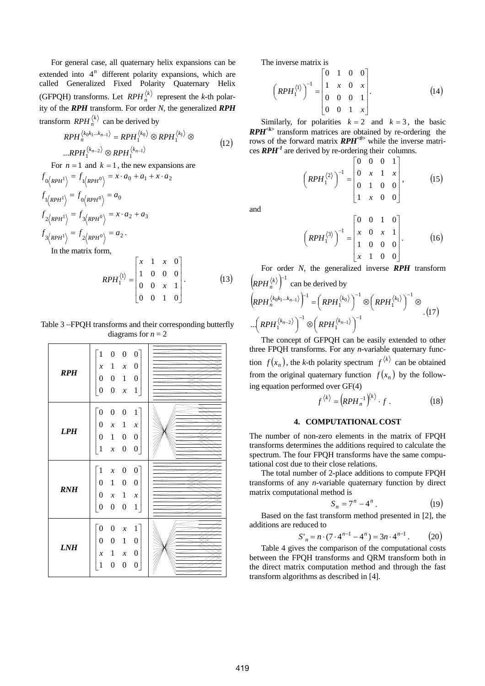For general case, all quaternary helix expansions can be extended into  $4^n$  different polarity expansions, which are called Generalized Fixed Polarity Quaternary Helix (GFPQH) transforms. Let *RPH* $_n^{(k)}$  represent the *k*-th polarity of the *RPH* transform. For order *N*, the generalized *RPH* transform  $RPH_n^{(k)}$  can be derived by

$$
RPH_n^{\langle k_0k_1\ldots k_{n-1}\rangle} = RPH_1^{\langle k_0\rangle} \otimes RPH_1^{\langle k_1\rangle} \otimes
$$
  
...
$$
RPH_1^{\langle k_{n-2}\rangle} \otimes RPH_1^{\langle k_{n-1}\rangle}
$$
 (12)

For  $n = 1$  and  $k = 1$ , the new expansions are

$$
f_{0\langle RPH^1 \rangle} = f_{1\langle RPH^0 \rangle} = x \cdot a_0 + a_1 + x \cdot a_2
$$
  
\n
$$
f_{1\langle RPH^1 \rangle} = f_{0\langle RPH^0 \rangle} = a_0
$$
  
\n
$$
f_{2\langle RPH^1 \rangle} = f_{3\langle RPH^0 \rangle} = x \cdot a_2 + a_3
$$
  
\n
$$
f_{3\langle RPH^1 \rangle} = f_{2\langle RPH^0 \rangle} = a_2.
$$
  
\nIn the matrix form,

$$
RPH_1^{\langle 1 \rangle} = \begin{bmatrix} x & 1 & x & 0 \\ 1 & 0 & 0 & 0 \\ 0 & 0 & x & 1 \\ 0 & 0 & 1 & 0 \end{bmatrix} . \tag{13}
$$

Table 3 −FPQH transforms and their corresponding butterfly diagrams for  $n = 2$ 

| <b>RPH</b> | $\lceil 1 \rceil$<br>$\boldsymbol{0}$<br>0<br>$\overline{0}$                       |  |
|------------|------------------------------------------------------------------------------------|--|
|            | $\mathbf{1}$<br>0<br>$\boldsymbol{\mathcal{X}}$<br>$\boldsymbol{\mathcal{X}}$      |  |
|            | $\boldsymbol{0}$<br>$\mathbf{1}$<br>$\boldsymbol{0}$<br>$\boldsymbol{0}$           |  |
|            | $\boldsymbol{0}$<br>$\boldsymbol{0}$<br>$\mathbf{1}$<br>$\boldsymbol{\mathcal{X}}$ |  |
|            | $\bar{0}$<br>$\mathbf{1}$<br>$\boldsymbol{0}$<br>0                                 |  |
| <b>LPH</b> | $\boldsymbol{0}$<br>1<br>$\boldsymbol{\mathcal{X}}$<br>$\boldsymbol{\mathcal{X}}$  |  |
|            | $\boldsymbol{0}$<br>0<br>1<br>0                                                    |  |
|            | 1<br>$\boldsymbol{0}$<br>$\boldsymbol{0}$<br>$\boldsymbol{\mathcal{X}}$            |  |
|            | $\bar{1}$<br>$0-$<br>$\boldsymbol{0}$<br>$\boldsymbol{x}$                          |  |
|            | $\mathbf{1}$<br>0<br>$\boldsymbol{0}$<br>$\boldsymbol{0}$                          |  |
| <b>RNH</b> | $\mathbf{1}$<br>0<br>$\boldsymbol{\mathcal{X}}$<br>$\boldsymbol{\mathcal{X}}$      |  |
|            | $\mathbf{1}$<br>$\boldsymbol{0}$<br>$\boldsymbol{0}$<br>$\boldsymbol{0}$           |  |
|            | $\lceil 0 \rceil$<br>$\boldsymbol{0}$<br>$\mathbf{1}$<br>$\boldsymbol{x}$          |  |
|            | $\boldsymbol{0}$<br>$\overline{0}$<br>$\mathbf{1}$<br>0                            |  |
| LNH        | $\boldsymbol{0}$<br>1<br>$\boldsymbol{\mathcal{X}}$<br>$\boldsymbol{\mathcal{X}}$  |  |
|            | $\mathbf{1}$<br>$\overline{0}$<br>$\theta$<br>0                                    |  |
|            |                                                                                    |  |

The inverse matrix is

$$
\left(RPH_1^{\langle 1\rangle}\right)^{-1} = \begin{bmatrix} 0 & 1 & 0 & 0 \\ 1 & x & 0 & x \\ 0 & 0 & 0 & 1 \\ 0 & 0 & 1 & x \end{bmatrix} . \tag{14}
$$

Similarly, for polarities  $k = 2$  and  $k = 3$ , the basic *RPH*<sup> $\star$ </sup> transform matrices are obtained by re-ordering the rows of the forward matrix *RPH<0>* while the inverse matrices  $RPH<sup>-1</sup>$  are derived by re-ordering their columns.

$$
\left(RPH_1^{(2)}\right)^{-1} = \begin{bmatrix} 0 & 0 & 0 & 1 \\ 0 & x & 1 & x \\ 0 & 1 & 0 & 0 \\ 1 & x & 0 & 0 \end{bmatrix}, \quad (15)
$$

and

$$
\left(RPH_1^{\langle 3\rangle}\right)^{-1} = \begin{bmatrix} 0 & 0 & 1 & 0 \\ x & 0 & x & 1 \\ 1 & 0 & 0 & 0 \\ x & 1 & 0 & 0 \end{bmatrix} . \tag{16}
$$

For order *N*, the generalized inverse *RPH* transform  $\left($ *RPH* $_{n}^{\langle k \rangle}$  $\right)^{-1}$  can be derived by

$$
(RPH_{n}^{\langle k_{0}k_{1}...k_{n-1}\rangle})^{-1} = (RPH_{1}^{\langle k_{0}\rangle})^{-1} \otimes (RPH_{1}^{\langle k_{1}\rangle})^{-1} \otimes
$$

$$
\left(RPH_{1}^{\langle k_{n-2}\rangle}\right)^{-1} \otimes (RPH_{1}^{\langle k_{n-1}\rangle})^{-1}
$$

The concept of GFPQH can be easily extended to other three FPQH transforms. For any *n*-variable quaternary function  $f(x_n)$ , the *k*-th polarity spectrum  $f^{(k)}$  can be obtained from the original quaternary function  $f(x_n)$  by the following equation performed over GF(4)

$$
f^{\langle k \rangle} = \left( \boldsymbol{R} \boldsymbol{P} \boldsymbol{H}_n^{-1} \right)^{\langle k \rangle} \cdot f \ . \tag{18}
$$

#### **4. COMPUTATIONAL COST**

The number of non-zero elements in the matrix of FPQH transforms determines the additions required to calculate the spectrum. The four FPQH transforms have the same computational cost due to their close relations.

The total number of 2-place additions to compute FPQH transforms of any *n*-variable quaternary function by direct matrix computational method is

$$
S_n = 7^n - 4^n. \tag{19}
$$

Based on the fast transform method presented in [2], the additions are reduced to

$$
S'_n = n \cdot (7 \cdot 4^{n-1} - 4^n) = 3n \cdot 4^{n-1} \,. \tag{20}
$$

Table 4 gives the comparison of the computational costs between the FPQH transforms and QRM transform both in the direct matrix computation method and through the fast transform algorithms as described in [4].